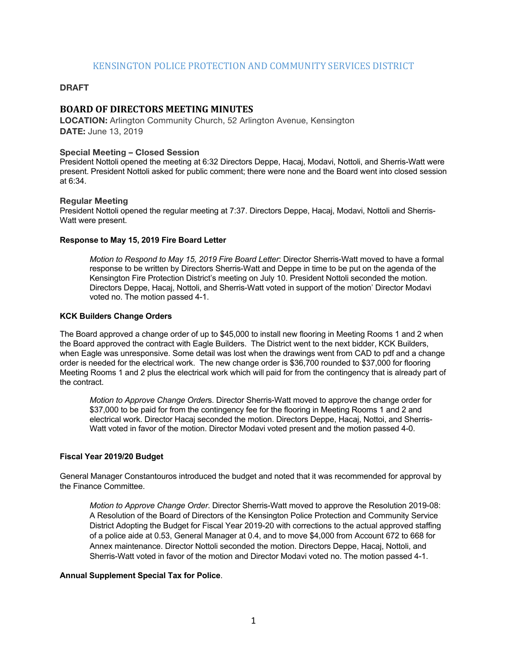# KENSINGTON POLICE PROTECTION AND COMMUNITY SERVICES DISTRICT

## **DRAFT**

# **BOARD OF DIRECTORS MEETING MINUTES**

**LOCATION:** Arlington Community Church, 52 Arlington Avenue, Kensington **DATE:** June 13, 2019

#### **Special Meeting – Closed Session**

President Nottoli opened the meeting at 6:32 Directors Deppe, Hacaj, Modavi, Nottoli, and Sherris-Watt were present. President Nottoli asked for public comment; there were none and the Board went into closed session at 6:34.

#### **Regular Meeting**

President Nottoli opened the regular meeting at 7:37. Directors Deppe, Hacaj, Modavi, Nottoli and Sherris-Watt were present.

#### **Response to May 15, 2019 Fire Board Letter**

*Motion to Respond to May 15, 2019 Fire Board Letter*: Director Sherris-Watt moved to have a formal response to be written by Directors Sherris-Watt and Deppe in time to be put on the agenda of the Kensington Fire Protection District's meeting on July 10. President Nottoli seconded the motion. Directors Deppe, Hacaj, Nottoli, and Sherris-Watt voted in support of the motion' Director Modavi voted no. The motion passed 4-1.

#### **KCK Builders Change Orders**

The Board approved a change order of up to \$45,000 to install new flooring in Meeting Rooms 1 and 2 when the Board approved the contract with Eagle Builders. The District went to the next bidder, KCK Builders, when Eagle was unresponsive. Some detail was lost when the drawings went from CAD to pdf and a change order is needed for the electrical work. The new change order is \$36,700 rounded to \$37,000 for flooring Meeting Rooms 1 and 2 plus the electrical work which will paid for from the contingency that is already part of the contract.

*Motion to Approve Change Order*s. Director Sherris-Watt moved to approve the change order for \$37,000 to be paid for from the contingency fee for the flooring in Meeting Rooms 1 and 2 and electrical work. Director Hacaj seconded the motion. Directors Deppe, Hacaj, Nottoi, and Sherris-Watt voted in favor of the motion. Director Modavi voted present and the motion passed 4-0.

#### **Fiscal Year 2019/20 Budget**

General Manager Constantouros introduced the budget and noted that it was recommended for approval by the Finance Committee.

*Motion to Approve Change Order*. Director Sherris-Watt moved to approve the Resolution 2019-08: A Resolution of the Board of Directors of the Kensington Police Protection and Community Service District Adopting the Budget for Fiscal Year 2019-20 with corrections to the actual approved staffing of a police aide at 0.53, General Manager at 0.4, and to move \$4,000 from Account 672 to 668 for Annex maintenance. Director Nottoli seconded the motion. Directors Deppe, Hacaj, Nottoli, and Sherris-Watt voted in favor of the motion and Director Modavi voted no. The motion passed 4-1.

#### **Annual Supplement Special Tax for Police**.